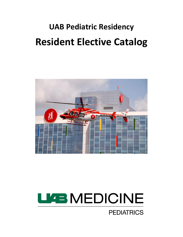# **UAB Pediatric Residency Resident Elective Catalog**



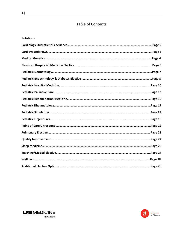# Table of Contents

#### **Rotations:**



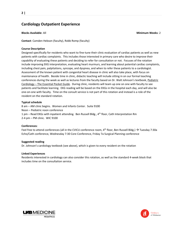## **Cardiology Outpatient Experience**

**Blocks Available**: All **Minimum Weeks**: 2

**Contact**: Camden Hebson (faculty), Robb Romp (faculty)

#### **Course Description**

Designed specifically for residents who want to fine-tune their clinic evaluation of cardiac patients as well as new patients with cardiac complaints. This includes those interested in primary care who desire to improve their capability of evaluating these patients and deciding to refer for consultation or not. Focuses of the rotation include improving EKG interpretation, evaluating heart murmurs, and learning about potential cardiac complaints, including chest pain, palpitations, syncope, and dyspnea, and when to refer these patients to a cardiologist. Assessment of the known patient with congenital heart disease in clinic will also take place, with focus on maintenance of health. Beside time in clinic, didactic teaching will include sitting in on our formal teaching conferences during the week as well as lectures from the faculty based on Dr. Walt Johnson's textbook, Pediatric Cardiology – The Essential Pocket Guide. During clinic, residents will team up one on one with faculty to see patients and facilitate learning. EKG reading will be based on the EKGs in the hospital each day, and will also be one-on-one with faculty. Time on the consult service is not part of this rotation and instead is a role of the resident on the standard rotation.

#### **Typical schedule**

8 am – AM clinic begins. Women and Infants Center. Suite 9100 Noon – Pediatric noon conference 1 pm – Read EKGs with inpatient attending. Ben Russell Bldg.,  $4<sup>th</sup>$  floor, Cath Interpretation Rm 2-4 pm – PM clinic. WIC 9100

#### **Conferences**:

Feel free to attend conferences (all in the CVICU conference room, 4<sup>th</sup> floor, Ben Russell Bldg.)  $\rightarrow$  Tuesday 7:30a Echo/Cath conference, Wednesday 7:30 Core Conference, Friday 7a Surgical Planning conference

#### **Suggested reading**

Dr. Johnson's cardiology textbook (see above), which is given to every resident on the rotation

#### **Linked Experiences**

Residents interested in cardiology can also consider this rotation, as well as the standard 4-week block that includes time on the consultation service.



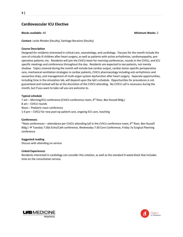## **Cardiovascular ICU Elective**

#### **Blocks available**: All **Minimum Weeks**: 2

**Contact**: Leslie Rhodes (faculty), Santiago Borasino (faculty)

#### **Course Description**

Designed for residents interested in critical care, neonatology, and cardiology. Focuses for the month include the care of critically ill children after heart surgery, as well as patients with active arrhythmias, cardiomyopathy, preoperative patients, etc. Residents will join the CVICU team for morning conferences, rounds in the CVICU, and ICU specific meetings and conferences throughout the day. Residents are expected to see patients, not merely shadow. Topics covered during the month will include low cardiac output, cardiac lesion-specific perioperative care, mechanical ventilation strategies in cardiac patients, CVICU pharmacology including anti-arrhythmics and vasoactive drips, and management of multi-organ system dysfunction after heart surgery. Separate opportunities, including time in the simulation lab, will depend upon the lab's schedule. Opportunities for procedures is not guaranteed and instead will be at the discretion of the CVICU attending. No CVICU call is necessary during the month, but if you want to take call you are welcome to.

#### **Typical schedule**

7 am – Morning/ICU conference (CVICU conference room, 4th floor, Ben Russell Bldg.) 8 am – CVICU rounds Noon – Pediatric noon conference 1-4 pm – CVICU for new post-op patient care, ongoing ICU care, teaching

#### **Conferences**:

\*Note conferences – attendance per CVICU attending (all in the CVICU conference room, 4th floor, Ben Russell Bldg.) Tuesday 7:30a Echo/Cath conference, Wednesday 7:30 Core Conference, Friday 7a Surgical Planning conference

#### **Suggested reading**

Discuss with attending on service

#### **Linked Experiences**

Residents interested in cardiology can consider this rotation, as well as the standard 4-week block that includes time on the consultation service.



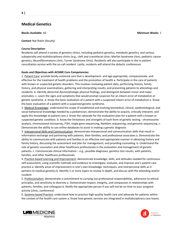### **Medical Genetics**

**Blocks Available**: All **Minimum Weeks**: 1

**Contact: Nat Robin (faculty)** 

#### **Course Description**:

Residents will attend a variety of genetics clinics, including pediatric genetics, metabolic genetics, and various subspecialty and multidisciplinary clinics (e.g., cleft and craniofacial clinic; Marfan Syndrome clinic; pediatric cancer genetics; Neurofibromatosis clinic; Turner Syndrome clinic). Residents will also participate in the in-patient consultation service with the on-call resident. Lastly, residents will attend the didactic conferences

#### **Goals and Objectives with ACGME Core Competencies**:

1. Patient Care: provide family-centered care that is development- and age-appropriate, compassionate, and effective for the treatment of health problems and the promotion of health a. Participate in the care of patients with known or suspected genetic disorders. This involves reviewing patient data, performing history, family history, and physical examinations, gathering and interpreting results, and presenting patients to attendings and residents. b. Identify abnormal dysmorphologic physical findings, and distinguish between minor and major anomalies. c. Learn the signs and symptoms that would prompt suspicion for an inborn error of metabolism or genetic syndrome. d. Know the basic evaluation of a patient with a suspected inborn error of metabolism e. Know the basic evaluation of a patient with a suspected genetic syndrome.

2. Medical Knowledge: understand the scope of established and evolving biomedical, clinical, epidemiological, and social-behavioral knowledge needed by a pediatrician; demonstrate the ability to acquire, critically interpret, and apply this knowledge to patient care a. Know the rationale for the evaluation plan for a patient with a known or suspected genetic condition. b. Know the limitations and strengths of each form of genetic testing - chromosome analysis, chromosomal microarray, FISH, single gene sequencing, NextGen sequencing, and genomic sequencing. c. Demonstrate the ability to use online databases to assist in making a genetic diagnosis

3. Interpersonal Skills and Communication: demonstrate interpersonal and communication skills that result in information exchange and partnering with patients, their families, and professional associates a. Demonstrate the ability to communicate with patients and families in an effective and appropriate manner in obtaining history and family history, discussing the assessment and plan for management, and providing counseling. b. Understand the role of genetic counselors and other healthcare professionals in the evaluation and management of genetic patients. c. Communicate clinical information – e.g., possible diagnoses, genetics test results, with patients, families, and other healthcare professionals

4. Practice-based Learning and Improvement: demonstrate knowledge, skills, and attitudes needed for continuous self-assessment, using scientific methods and evidence to investigate, evaluate, and improve one's patient care practice a. Identify areas of improvement in one's own knowledge, techniques, and interpersonal skills as it pertains to medical genetics b. Identify 1 or more topics to review in depth, and discuss with the attending and/or resident

5. Professionalism: demonstrate a commitment to carrying out professional responsibilities, adherence to ethical principles, and sensitivity to diversity a. Demonstrate respect, integrity, and compassion in relationships with patients, families, and colleagues b. Notify the appropriate person if you will not be on time to your assigned activity (clinic, conference)

6. Systems-based Practice: understand how to practice high-quality health care and advocate for patients within the context of the health care system a. Know how genetic services are integrated in multidisciplinary care teams.



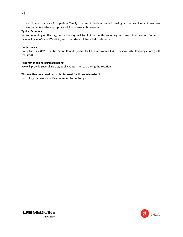b. Learn how to advocate for a patient /family in terms of obtaining genetic testing or other services. c. Know how to refer patients to the appropriate clinical or research program

#### **Typical Schedule**:

Varies depending on the day, but typical days will be clinic in the AM, rounding on consults in afternoon. Some days will have AM and PM clinic, and other days will have PM conferences.

#### **Conferences**:

Every Tuesday 4PM: Genetics Grand Rounds (Volker Hall, Lecture room C); 4th Tuesday 8AM: Radiology Conf (both required)

#### **Recommended resources/reading**:

We will provide several articles/book chapters to read during the rotation

#### **This elective may be of particular interest for those interested in**:

Neurology; Behavior and Development; Neonatology



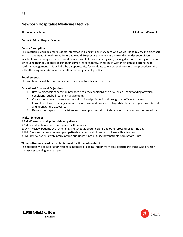## **Newborn Hospitalist Medicine Elective**

#### **Blocks Available: All Minimum Weeks: 2**

**Contact**: Adnan Haque (faculty)

#### **Course Description:**

This rotation is designed for residents interested in going into primary care who would like to review the diagnosis and management of newborn patients and would like practice in acting as an attending under supervision. Residents will be assigned patients and be responsible for coordinating care, making decisions, placing orders and scheduling their day in order to run their service independently, checking in with their assigned attending to confirm management. This will also be an opportunity for residents to review their circumcision procedure skills with attending supervision in preparation for independent practice.

#### **Requirements:**

This rotation is available only for second, third, and fourth year residents.

#### **Educational Goals and Objectives:**

- 1. Review diagnosis of common newborn pediatric conditions and develop an understanding of which conditions require inpatient management.
- 2. Create a schedule to review and see all assigned patients in a thorough and efficient manner.
- 3. Formulate plans to manage common newborn conditions such as hyperbilirubinemia, opiate withdrawal, and neonatal HIV exposure.
- 4. Review the steps for circumcisions and develop a comfort for independently performing the procedure.

#### **Typical Schedule:**

8 AM - Pre-round and gather data on patients

9 AM- See all patients and develop plan with families,

- 10 AM Review patients with attending and schedule circumcisions and other procedures for the day
- 1 PM See new patients, follow up on patient-care responsibilities, touch base with attending
- 3 PM- Review patients with intern signing out, update sign out, see new patients born before 3 pm

#### **This elective may be of particular interest for those interested in:**

This rotation will be helpful for residents interested in going into primary care, particularly those who envision themselves working in a nursery.



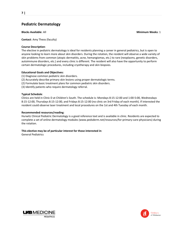## **Pediatric Dermatology**

**Blocks Available**: All **Minimum Weeks**: 1

**Contact**: Amy Theos (faculty)

#### **Course Description**:

The elective in pediatric dermatology is ideal for residents planning a career in general pediatrics, but is open to anyone looking to learn more about skin disorders. During the rotation, the resident will observe a wide variety of skin problems from common (atopic dermatitis, acne, hemangiomas, etc.) to rare (neoplasms, genetic disorders, autoimmune disorders, etc.) and every clinic is different. The resident will also have the opportunity to perform certain dermatologic procedures, including cryotherapy and skin biopsies.

#### **Educational Goals and Objectives:**

- (1) Diagnose common pediatric skin disorders.
- (2) Accurately describe primary skin lesions using proper dermatologic terms.
- (2) Formulate basic treatment plans for common pediatric skin disorders.
- (3) Identify patients who require dermatology referral.

#### **Typical Schedule**:

Clinics are held in Clinic D at Children's South. The schedule is: Mondays 8:15-12:00 and 1:00-5:00, Wednesdays 8:15-12:00, Thursdays 8:15-12:00, and Fridays 8:15-12:00 (no clinic on 3rd Friday of each month). If interested the resident could observe laser treatment and local procedures on the 1st and 4th Tuesday of each month.

#### **Recommended resources/reading**:

Hurwitz Clinical Pediatric Dermatology is a good reference text and is available in clinic. Residents are expected to complete a set of online dermatology modules (www.pedsderm.net/resources/for-primary-care-physicians) during the rotation.

#### **This elective may be of particular interest for those interested in**:

General Pediatrics



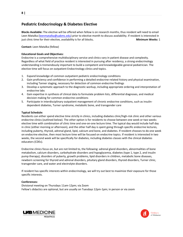## **Pediatric Endocrinology & Diabetes Elective**

**Blocks Available:** The elective will be offered when fellow is on research months, thus resident will need to email Leen Matalka [\(leenmatalka@uabmc.edu\)](mailto:leenmatalka@uabmc.edu) prior to elective month to discuss availability. If resident is interested in just clinic time for their elective, availability is for all blocks**. Minimum Weeks:** 1

**Contact:** Leen Matalka (fellow)

#### **Educational Goals and Objectives:**

Endocrine is a comprehensive multidisciplinary service and clinics vary in patient disease and complexity. Regardless of what field of practice resident is interested in pursuing after residency, a strong endocrinology understanding is tremendously important to build a competent and knowledgeable general pediatrician. The elective time will focus on outpatient Endocrinology clinics and topics.

- 1. Expand knowledge of common outpatient pediatric endocrinology conditions
- 2. Gain proficiency and confidence in performing a detailed endocrine-related history and physical examination, including Tanner staging, necessary for detection of common endocrine findings
- 3. Develop a systematic approach to the diagnostic workup, including appropriate ordering and interpretation of endocrine labs
- 4. Gain expertise in synthesis of clinical data to formulate problem lists, differential diagnoses, and medical decision making for common endocrine conditions
- 5. Participate in interdisciplinary outpatient management of chronic endocrine conditions, such as insulindependent diabetes, Turner syndrome, metabolic bone, and transgender care

#### **Typical Schedule:**

Residents can either spend elective time strictly in clinics, including diabetes clinic/high-risk clinic and other various endocrine clinics (outlined below). The other option is for residents to choose between one week or two weeks elective time with combination of clinic time and one-on-one lecture time. The typical day would include half day in clinic (either morning or afternoon), and the other half day is spent going through specific endocrine lectures, including puberty, thyroid, adrenal gland, lipid, calcium and bone, and diabetes. If resident chooses to do one week on endocrine elective, then most lecture time will be focused on endocrine topics. If resident is interested in two weeks, the second week will be specifically for diabetes, including diabetes classes with the clinical diabetes educators (CDEs).

Endocrine clinics focus on, but are not limited to, the following: adrenal gland disorders, abnormalities of bone metabolism, calcium disorders, carbohydrate disorders and hypoglycemia, diabetes (type 1, type 2, and insulin pump therapy), disorders of puberty, growth problems, lipid disorders in children, metabolic bone diseases, newborn screening for thyroid and adrenal disorders, pituitary gland disorders, thyroid disorders, Turner clinic, transgender care, and water and electrolyte disorders.

If resident has specific interests within endocrinology, we will try out best to maximize their exposure for those specific interests.

#### **Conferences:**

Divisional meeting on Thursdays 11am-12pm; via Zoom Fellow's didactics are optional, but are usually on Tuesdays 12pm-1pm; in person or via zoom



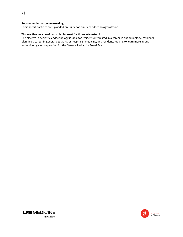#### **Recommended resources/reading**:

Topic specific articles are uploaded on Guidebook under Endocrinology rotation.

#### **This elective may be of particular interest for those interested in**:

The elective in pediatric endocrinology is ideal for residents interested in a career in endocrinology, residents planning a career in general pediatrics or hospitalist medicine, and residents looking to learn more about endocrinology as preparation for the General Pediatrics Board Exam.



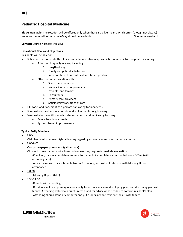## **Pediatric Hospital Medicine**

**Blocks Available**: The rotation will be offered only when there is a Silver Team, which often (though not always) excludes the month of June. July-May should be available. **Minimum Weeks**: 1

**Contact**: Lauren Nassetta (faculty)

#### **Educational Goals and Objectives**:

Residents will be able to:

- Define and demonstrate the clinical and administrative responsibilities of a pediatric hospitalist including:
	- Attention to quality of care, including
		- 1. Length of stay
		- 2. Family and patient satisfaction
		- 3. Incorporation of current evidence based practice
	- **•** Effective communication with
		- 1. Silver team members
		- 2. Nurses & other care providers
		- 3. Patients, and families
		- 4. Consultants
		- 5. Primary care providers
		- 6. Satisfactory transitions of care
- Bill, code, and document as a pediatrician caring for inpatients
- Demonstrate evidence of curiosity and a plan for life-long learning
- Demonstrate the ability to advocate for patients and families by focusing on
	- Family healthcare needs
	- Systems based improvements

#### **Typical Daily Schedule**:

7:00-

-Get check-out from overnight attending regarding cross-cover and new patients admitted

7:00-8:00

-Computer/paper pre-rounds (gather data).

-No need to see patients prior to rounds unless they require immediate evaluation.

-Check on, tuck in, complete admission for patients incompletely admitted between 5-7am (with attending help).

-Any admissions to Silver team between 7-8 so long as it will not interfere with Morning Report attendance.

8-8:30

-Morning Report (M-F)

- 8:30-11:00
	- -Rounds with attending.

-Residents will have primary responsibility for interview, exam, developing plan, and discussing plan with family. Attending will remain quiet unless asked for advice or as needed to confirm resident's plan. -Attending should stand at computer and put orders in while resident speaks with family.



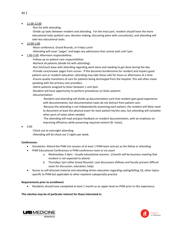#### 11:00-12:00

-Run list with attending.

-Divide up tasks between resident and attending. For the most part, resident should have the more educational tasks (patient care, decision making, discussing plans with consultants), and attending will take less educational tasks.

12:00-1:00

-Noon conference, Grand Rounds, or Friday Lunch

-Attending will cover "pages" and begin any admissions that cannot wait until 1pm.

1:00-5:00: Afternoon responsibilities:

-Follow-up on patient-care responsibilities

-Recheck all patients (divide list with attending)

-Run list/touch base with attending regarding work done and needing to get done during the day -Provide care/answer pages from nurses. If this becomes burdensome for resident and impairs good patient care or resident education, attending may take these calls for hours or afternoons at a time. -Ensure quality transitions of care for patients being discharged from the hospital. This will often mean speaking with the primary care providers.

-Admit patients assigned to Silver between 1 and 3pm.

-Resident will have opportunity to perform procedures on Silver patients

-Documentation:

-Resident and attending will divide up documentation such that resident gets good experience with documentation, but documentation tasks do not distract from patient care.

-Because the attending is not independently examining each patient, the resident will likely need to document at least the physical exam for each patient he/she sees, but attending will complete other parts of notes when needed.

-The attending will read and give feedback on resident documentation, with an emphasis on improving efficiency while preserving required content (B- notes).

#### 5:00

-Check out to overnight attending.

-Attending will do check out 2 nights per week.

#### **Conferences**:

- Simulation: Attend the PHM sim session of at least 1 PHM team and act as the fellow or attending.
- PHM Educational Conferences in PHM conference room or via zoom
	- a. Wednesdays 3-4pm: Usually educational sessions. 1/month will be business meeting that resident is not expected to attend.
	- b. Thursdays 1pm (after Grand Rounds): case discussions (fellows and faculty present difficult cases for discussion, education, help)
- Access to self-directed material and attending-driven education regarding coding/billing, QI, other topics specific to PHM but applicable to other inpatient subspecialty practice

#### **Requirements prior to enrollment**:

Residents should have completed at least 1 month as an upper level on PHM prior to this experience.

**This elective may be of particular interest for those interested in**:



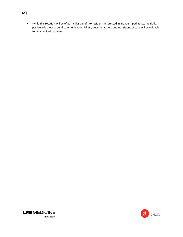**12 |** 

 While this rotation will be of particular benefit to residents interested in inpatient pediatrics, the skills, particularly those around communication, billing, documentation, and transitions of care will be valuable for any pediatric trainee.



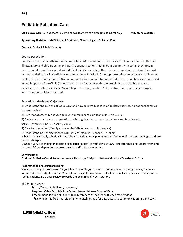# **Pediatric Palliative Care**

**Blocks Available**: All but there is a limit of two learners at a time (including fellow). **Minimum Weeks**: 1

**Sponsoring Division**: UAB Division of Geriatrics, Gerontology & Palliative Care

**Contact**: Ashley Nichols (faculty)

#### **Course Description**:

Rotation is predominantly with our consult team @ COA where we see a variety of patients with both acute illness/injury and chronic complex illness to support patients, families and teams with complex symptom management as well as support with difficult decision-making. There is some opportunity to have focus with our embedded teams in Cardiology or Neonatology if desired. Other opportunities can be tailored to learner goals to include limited time at UAB on our palliative care unit (more end-of-life care and hospice transitions), in our Supportive Care Clinic (for upstream care of patients with complex illness), and/or home-based palliative care or hospice visits. We are happy to arrange a Med-Peds elective that would include any/all location opportunities as desired.

#### **Educational Goals and Objectives**:

1) Understand the role of palliative care and how to introduce idea of palliative services to patients/families (consults, clinic)

2) Pain management for cancer pain vs. nonmalignant pain (consults, unit, clinic)

3) Review and practice communication tools to guide discussion with patients and families with

serious/complex illness (consults, clinic)

4) Care for the patient/family at the end-of-life (consults, unit, hospice)

5) Understanding hospice benefit with patients/families (consults +/- clinic)

What is "typical" daily schedule? What should resident anticipate in terms of schedule? - acknowledging that there may be changes.

Days can vary depending on location of practice; typical consult days at COA start after morning report ~9am and last until 4-5pm depending on new consults and/or family meetings.

#### **Conferences**:

Optional Palliative Grand Rounds on select Thursdays 12-1pm or fellows' didactics Tuesdays 12-2pm

#### **Recommended resources/reading**:

We have some great resources for your learning while you are with us or just anytime along the way if you are interested. The content from the Vital Talk videos and recommended Fast Facts will likely quickly come up when seeing patients, so please review towards the beginning of your rotation.

#### 1) Vital Talk Videos

https://www.vitaltalk.org/resources/

Required Video Sets: Disclose Serious News, Address Goals of Care

- I recommend looking at Quick Guide references associated with each set of videos
- \*\*Download the free Android or iPhone VitalTips app for easy access to communication tips and tools



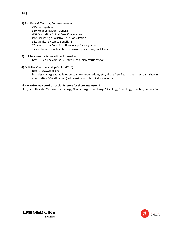- 2) Fast Facts (300+ total, 5+ recommended)
	- #15 Constipation
		- #30 Prognostication General
	- #36 Calculation Opioid Dose Conversions
	- #42 Discussing a Palliative Care Consultation
	- #82 Medicare Hospice Benefit (I)
	- \*Download the Android or iPhone app for easy access
	- \*View them free online: https://www.mypcnow.org/fast-facts
- 3) Link to access palliative articles for reading. https://uab.box.com/s/9s91f3mt10pg3uozfi72gfr8h2hfgycs
- 4) Palliative Care Leadership Center (PCLC)
	- https://www.capc.org
	- Includes many great modules on pain, communications, etc.; all are free if you make an account showing your UAB or COA affiliation (.edu email) as our hospital is a member.

#### **This elective may be of particular interest for those interested in**:

PICU, Peds Hospital Medicine, Cardiology, Neonatology, Hematology/Oncology, Neurology, Genetics, Primary Care



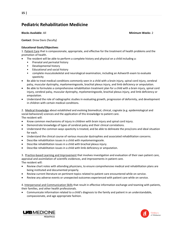# **Pediatric Rehabilitation Medicine**

**Blocks Available**: All **Minimum Weeks**: 2

**Contact**: Drew Davis (faculty)

#### **Educational Goals/Objectives**:

1. Patient Care that is compassionate, appropriate, and effective for the treatment of health problems and the promotion of health.

- The resident will be able to perform a complete history and physical on a child including a:
	- Prenatal and perinatal history
	- Developmental history
	- Educational and social history
	- complete musculoskeletal and neurological examination, including an Ashworth exam to evaluate spasticity
- Be able to treat medical conditions commonly seen in a child with a brain injury, spinal cord injury, cerebral palsy, muscular dystrophy, myelomeningocele, brachial plexus injury, and limb deficiency or amputation.
- Be able to formulate a comprehensive rehabilitation treatment plan for a child with a brain injury, spinal cord injury, cerebral palsy, muscular dystrophy, myelomeningocele, brachial plexus injury, and limb deficiency or amputation.
- Understand the role of radiographic studies in evaluating growth, progression of deformity, and development in children with certain medical conditions.

2. Medical Knowledge about established and evolving biomedical, clinical, cognate (e.g. epidemiological and social-behavioral) sciences and the application of this knowledge to patient care. The resident will:

- Know common mechanisms of injury in children with brain injury and spinal cord injury.
- Demonstrate knowledge of types of cerebral palsy and their clinical correlations.
- Understand the common ways spasticity is treated, and be able to delineate the pros/cons and ideal situation for each.
- Understand the clinical course of various muscular dystrophies and associated rehabilitation concerns.
- Describe rehabilitation issues in a child with myelomeningocele.
- Describe rehabilitation issues in a child with brachial plexus injury.
- Describe rehabilitation issues in a child with limb deficiency or amputation.

3. Practice-based Learning and Improvement that involves investigation and evaluation of their own patient care, appraisal and assimilation of scientific evidences, and improvements in patient care. The resident will:

- Review chart notes with attending physicians, to ensure comprehensive medical and rehabilitation plans are being instituted and documented properly.
- Review current literature on pertinent topics related to patient care encountered while on service.
- Review any adverse events or unexpected outcomes experienced with patient care while on service.

4. Interpersonal and Communication Skills that result in effective information exchange and teaming with patients, their families, and other health professionals.

 Communicate information related to a child's diagnosis to the family and patient in an understandable, compassionate, and age appropriate fashion.



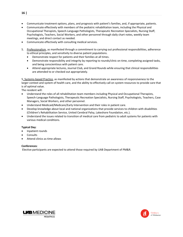- Communicate treatment options, plans, and prognosis with patient's families, and, if appropriate, patients.
- Communicate effectively with members of the pediatric rehabilitation team, including the Physical and Occupational Therapists, Speech-Language Pathologists, Therapeutic Recreation Specialists, Nursing Staff, Psychologists, Teachers, Social Workers, and other personnel through daily chart notes, weekly team meetings, and direct contact as needed.
- Communicate effectively with consulting medical services.
- 5. Professionalism, as manifested through a commitment to carrying out professional responsibilities, adherence to ethical principles, and sensitivity to diverse patient populations.
	- Demonstrate respect for patients and their families at all times.
	- Demonstrate responsibility and integrity by reporting to rounds/clinic on time, completing assigned tasks, and being conscientious with patient care.
	- Attend appropriate lectures, Journal Club, and Grand Rounds while ensuring that clinical responsibilities are attended to or checked out appropriately.

5. Systems-based Practice, as manifested by actions that demonstrate an awareness of responsiveness to the larger context and system of health care, and the ability to effectively call on system resources to provide care that is of optimal value.

The resident will:

- Understand the roles of all rehabilitation team members including Physical and Occupational Therapists, Speech-Language Pathologists, Therapeutic Recreation Specialists, Nursing Staff, Psychologists, Teachers, Case Managers, Social Workers, and other personnel.
- Understand Medicaid/Medicare/Early Intervention and their roles in patient care.
- Develop knowledge about local and national organizations that provide services to children with disabilities (Children's Rehabilitation Service, United Cerebral Palsy, Lakeshore Foundation, etc.).
- Understand the issues related to transition of medical care from pediatric to adult systems for patients with various medical conditions.

#### **Typical Day**:

- Inpatient rounds
- Consults
- Attend clinics as time allows

#### **Conferences**:

Elective participants are expected to attend those required by UAB Department of PM&R.



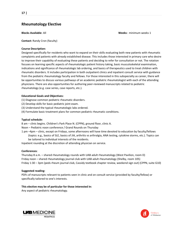## **Rheumatology Elective**

**Blocks Available**: All **Weeks:** minimum weeks 1

**Contact:** Randy Cron (faculty)

#### **Course Description:**

Designed specifically for residents who want to expand on their skills evaluating both new patients with rheumatic complaints and patients with already established disease. This includes those interested in primary care who desire to improve their capability of evaluating these patients and deciding to refer for consultation or not. The rotation focuses on learning specific aspects of rheumatologic patient history taking, basic musculoskeletal examination, indications and significance of rheumatologic lab ordering, and basics of therapeutics used to treat children with rheumatic disorders. It includes participation in both outpatient clinics and inpatient consult service with guidance from the pediatric rheumatology faculty and fellows. For those interested in this subspecialty as career, there will be opportunities to discuss various pathways of an academic pediatric rheumatologist with each of the attending physicians. There are also opportunities for authoring peer-reviewed manuscripts related to pediatric rheumatology (e.g. case series, case reports, etc.).

#### **Educational Goals and Objectives:**

- (1) Diagnose common pediatric rheumatic disorders.
- (2) Develop skills for basic pediatric joint exam.
- (3) Understand the typical rheumatologic labs ordered.
- (4) Formulate basic treatment plans for common pediatric rheumatic conditions.

#### **Typical schedule:**

8 am – clinic begins. Children's Park Place N. (CPPN), ground floor, clinic A.

Noon – Pediatric noon conference / Grand Rounds on Thursday

1 pm –4pm – clinic, except on Fridays, some afternoons will have time devoted to education by faculty/fellows (topics: e.g., basics of SLE, basics of JIA, arthritis vs arthralgia, ANA testing, cytokine storms, etc.). Topics can be tailored to individual interests of the residents.

Inpatient rounding at the discretion of attending physician on service.

#### **Conferences**:

Thursday 8 a.m. – shared rheumatology rounds with UAB adult rheumatology (West Pavilion, room D) Friday noon – shared rheumatology journal club with UAB adult rheumatology (Shelby, room 105) Friday 1:30 – 3pm (peds rheum journal club, Cassidy textbook chapter review, weekend sign out) (CPPN, suite G10)

#### **Suggested reading:**

PDFs of manuscripts relevant to patients seen in clinic and on consult service (provided by faculty/fellow) or specifically tailored to one's interests.

#### **This elective may be of particular for those interested in:**

Any aspect of pediatric rheumatology.



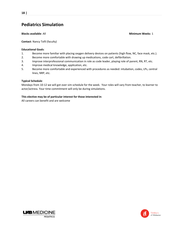# **Pediatrics Simulation**

**Blocks available**: All **Minimum Weeks**: 1

**Contact**: Nancy Tofil (faculty)

#### **Educational Goals**:

- 1. Become more familiar with placing oxygen delivery devices on patients (high flow, NC, face mask, etc.).
- 2. Become more comfortable with drawing up medications, code cart, defibrillation.
- 3. Improve interprofessional communication in role as code leader, playing role of parent, RN, RT, etc.
- 4. Improve medical knowledge, application, etc.
- 5. Become more comfortable and experienced with procedures as needed: intubation, codes, LPs, central lines, NRP, etc.

#### **Typical Schedule**:

Mondays from 10-12 we will got over sim schedule for the week. Your roles will vary from teacher, to learner to actor/actress. Your time commitment will only be during simulations.

#### **This elective may be of particular interest for those interested in**:

All careers can benefit and are welcome



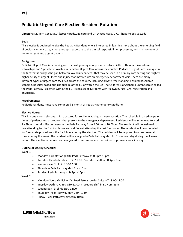# **Pediatric Urgent Care Elective Resident Rotation**

**Directors**: Dr. Terri Coco, M.D. (tcoco@peds.uab.edu) and Dr. Lynzee Head, D.O. (lhead@peds.uab.edu)

#### **Goal**:

This elective is designed to give the Pediatric Resident who is interested in learning more about the emerging field of pediatric urgent care, a more in-depth exposure to the clinical responsibilities, processes, and management of non-emergent and urgent patients.

#### **Background**:

Pediatric Urgent Care is becoming one the fast growing new pediatric subspecialties. There are 4 academic fellowships and 1 private fellowship in Pediatric Urgent Care across the country. Pediatric Urgent Care is unique in the fact that is bridges the gap between low acuity patients that may be seen in a primary care setting and slightly higher acuity of urgent illness and injury that may require an emergency department visit. There are many different types of urgent care facilities across the country including private free standing, hospital based free standing, hospital based but just outside of the ED or within the ED. The Children's of Alabama urgent care is called the Peds Pathway is located within the ED. It consists of 12 rooms with its own nurses, CAs, registration and physicians.

#### **Requirements**:

Pediatric residents must have completed 1 month of Pediatric Emergency Medicine.

#### **Elective Hours**:

This is a one month elective. It is structured for residents taking a 1 week vacation. The schedule is based on peak times of patients and procedures that present to the emergency department. Residents will be scheduled to work 3 x 8hour clinical shifts per week in the Peds Pathway from 2:00pm to 10:00pm. The resident will be assigned to one attending for the 1st four hours and a different attending the last four hours. The resident will be scheduled for 3 separate procedure shifts for 4 hours during the elective. The resident will be required to attend several clinics during the week. The resident will be assigned a Peds Pathway shift for 1 weekend day during the 3 week period. The elective schedule can be adjusted to accommodate the resident's primary care clinic day.

#### **Outline of weekly schedule**:

Week 1

- Monday- Orientation (TBD), Peds Pathway shift 2pm-10pm
- Tuesday- Headache clinic 8:30-12:00, Procedure shift in ED 4pm-8pm
- Wednesday- GI clinic 8:30-12:00
- Thursday- Peds Pathway shift 2pm-10pm
- Sunday- Peds Pathway shift 2pm-10pm

#### Week 2

- Monday- Sport Medicine (Dr. Reed Estes) Lowder Suite 402 8:00-12:00
- Tuesday- Asthma Clinic 8:30-12:00, Procedure shift in ED 4pm-8pm
- Wednesday- GI clinic 8:30-12:00
- Thursday- Peds Pathway shift 2pm-10pm
- Friday- Peds Pathway shift 2pm-10pm



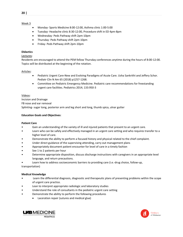- Monday- Sports Medicine 8:00-12:00, Asthma clinic 1:00-5:00
- Tuesday- Headache clinic 8:30-12:00, Procedure shift in ED 4pm-8pm
- Wednesday- Peds Pathway shift 2pm-10pm
- Thursday- Peds Pathway shift 2pm-10pm
- Friday- Peds Pathway shift 2pm-10pm

#### **Didactics**

#### Lectures:

Residents are encouraged to attend the PEM fellow Thursday conferences anytime during the hours of 8:00-12:00. Topics will be distributed at the beginning of the rotation.

#### Articles:

- Pediatric Urgent Care-New and Evolving Paradigms of Acute Care. Usha Sankrithi and Jeffery Schor. Pediatr Clin N Am 65 (2018) p1257-1268.
- Committee on Pediatric Emergency Medicine. Pediatric care recommendations for freestanding urgent care facilities. Pediatrics 2014; 133:950-3

#### Videos:

Incision and Drainage

FB nose and ear removal

Splinting- sugar tong, posterior arm and leg short and long, thumb spica, ulnar gutter

#### **Education Goals and Objectives**:

#### **Patient Care**

- Gain an understanding of the variety of ill and injured patients that present to an urgent care.
- Learn who can be safely and effectively managed in an urgent care setting and who requires transfer to a higher level of care.
- Demonstrate the ability to perform a focused history and physical related to the chief complaint.
- Under direct guidance of the supervising attending, carry out management plans
- Appropriately document patient encounter for level of care in a timely fashion
- See 1 to 2 patients per hour
- Determine appropriate disposition, discuss discharge instructions with caregivers in an appropriate level language, and return precautions.
- Learn how to address socioeconomic barriers to providing care (i.e.-drug choice, follow-up,

transportation)

#### **Medical Knowledge**

- Learn the differential diagnosis, diagnostic and therapeutic plans of presenting problems within the scope of urgent care practice.
- Lean to interpret appropriate radiologic and laboratory studies
- Understand the role of consultants in the pediatric urgent care setting
- Demonstrate the ability to perform the following procedures
	- Laceration repair (sutures and medical glue)



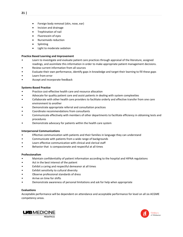- Foreign body removal (skin, nose, ear)
- Incision and drainage
- Trephination of nail
- Fluorescein of eyes
- Nursemaids reduction
- Splinting
- Light to moderate sedation

#### **Practice Based Learning and Improvement**

- Learn to investigate and evaluate patient care practices through appraisal of the literature, assigned readings, and assimilate this information in order to make appropriate patient management decisions.
- Review current information from all sources
- Evaluate their own performance, identify gaps in knowledge and target their learning to fill these gaps
- Learn from error
- Accept and incorporate feedback

#### **Systems-Based Practice**

- Practice cost-effective health care and resource allocation
- Advocate for quality patient care and assist patients in dealing with system complexities
- Collaborate with other health care providers to facilitate orderly and effective transfer from one care environment to another
- Demonstrate appropriate referral and consultation practices
- Coordinate recommendations from consultants
- Communicate effectively with members of other departments to facilitate efficiency in obtaining tests and procedures
- Demonstrate advocacy for patients within the health care system

#### **Interpersonal Communications**

- Effective communication with patients and their families in language they can understand
- Communicate with patients from a wide range of backgrounds
- Learn effective communication with clinical and clerical staff
- Behavior that is compassionate and respectful at all times

#### **Professionalism**

- Maintain confidentiality of patient information according to the hospital and HIPAA regulations
- Act in the best interest of the patient
- Exhibit a caring and respectful demeanor at all times
- Exhibit sensitivity to cultural diversity
- Observe professional standards of dress
- Arrive on time for shifts
- Demonstrate awareness of personal limitations and ask for help when appropriate

#### **Evaluations**

Acceptable performance will be dependent on attendance and acceptable performance for level on all six ACGME competency areas.



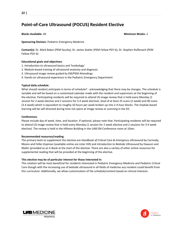# **Point-of-Care Ultrasound (POCUS) Resident Elective**

**Blocks Available**: All **Minimum Weeks**: 2

**Sponsoring Division**: Pediatric Emergency Medicine

**Contact(s)**: Dr. Mark Baker (PEM faculty), Dr. James Statler (PEM Fellow PGY-6), Dr. Stephen Ruffenach (PEM Fellow PGY-6)

#### **Educational goals and objectives**:

- 1. Introduction to ultrasound basics and 'knobology'
- 2. Module-based training of ultrasound anatomy and diagnosis
- 3. Ultrasound image review guided by EM/PEM Attendings
- 4. Hands-on ultrasound experience in the Pediatric Emergency Department

#### **Typical daily schedule**:

What should resident anticipate in terms of schedule? - acknowledging that there may be changes. The schedule is variable and will be based on a customized calendar made with the resident and supervisors at the beginning of the elective. Participating residents will be required to attend US image review that is held every Monday (1 session for 2 week elective and 2 sessions for 3-4 week elective). Goal of at least 25 scans (2-week) and 40 scans (3-4 week) which is equivalent to roughly 10 hours per week broken up into 2-4 hour blocks. The module-based learning will be self-directed during time not spent at image review or scanning in the ED.

#### **Conferences**:

Please include day of week, time, and location. If optional, please note that. Participating residents will be required to attend US image review that is held every Monday (1 session for 2 week elective and 2 sessions for 3-4 week elective). The review is held in the Hillman Building in the UAB EM Conference room at 10am.

#### **Recommended resources/reading**:

The primary texts to supplement the elective are *Handbook of Critical Care & Emergency Ultrasound* by Carmody, Moore and Feller-Kopman (available online via Lister Hill) and *Introduction to Bedside Ultrasound* by Dawson and Mallin (provided as an E-Book at the start of the elective. There are also a variety of other online resources for supplemental reading that will be provided at the beginning of the elective.

#### **This elective may be of particular interest for those interested in**:

This rotation will be most beneficial for residents interested in Pediatric Emergency Medicine and Pediatric Critical Care though with the increasing use of bedside ultrasound in all fields of medicine any resident could benefit from this curriculum. Additionally, we allow customization of the schedule/content based on clinical interests.



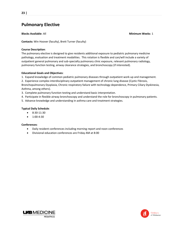# **Pulmonary Elective**

**Blocks Available**: All **Minimum Weeks**: 1

**Contacts:** Win Hoover (faculty), Brett Turner (faculty)

#### **Course Description**:

The pulmonary elective is designed to give residents additional exposure to pediatric pulmonary medicine pathology, evaluation and treatment modalities. This rotation is flexible and can/will include a variety of outpatient general pulmonary and sub-specialty pulmonary clinic exposure, relevant pulmonary radiology, pulmonary function testing, airway clearance strategies, and bronchoscopy (if interested).

#### **Educational Goals and Objectives**:

1. Expand knowledge of common pediatric pulmonary diseases through outpatient work-up and management.

2. Experience complex interdisciplinary outpatient management of chronic lung disease (Cystic Fibrosis, Bronchopulmonary Dysplasia, Chronic respiratory failure with technology dependence, Primary Ciliary Dyskinesia, Asthma, among others).

3. Complete pulmonary function testing and understand basic interpretation.

4. Participate in flexible airway bronchoscopy and understand the role for bronchoscopy in pulmonary patients.

5. Advance knowledge and understanding in asthma care and treatment strategies.

#### **Typical Daily Schedule**:

- 8:30-11:30
- 1:00-4:30

#### **Conferences**:

- Daily resident conferences including morning report and noon conferences
- Divisional education conferences are Friday AM at 8:00



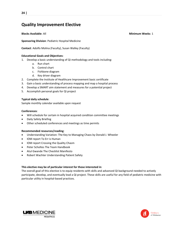# **Quality Improvement Elective**

**Blocks Available**: All **Minimum Weeks**: 1

**Sponsoring Division**: Pediatric Hospital Medicine

**Contact**: Adolfo Molina (Faculty), Susan Walley (Faculty)

#### **Educational Goals and Objectives**:

- 1. Develop a basic understanding of QI methodology and tools including:
	- a. Run chart
	- b. Control chart
	- c. Fishbone diagram
	- d. Key driver diagram
- 2. Complete the Institute of Healthcare Improvement basic certificate
- 3. Gain a basic understanding of process mapping and map a hospital process
- 4. Develop a SMART aim statement and measures for a potential project
- 5. Accomplish personal goals for QI project

#### **Typical daily schedule**:

Sample monthly calendar available upon request

#### **Conferences**:

- Will schedule for certain in hospital acquired condition committee meetings
- Daily Safety Briefing
- Other scheduled conferences and meetings as time permits

#### **Recommended resources/reading**:

- Understanding Variation: The Key to Managing Chaos by Donald J. Wheeler
- IOM report To Err is Human
- IOM report Crossing the Quality Chasm
- Peter Scholtes The Team Handbook
- Atul Gwande The Checklist Manifesto
- Robert Wachter Understanding Patient Safety

#### **This elective may be of particular interest for those interested in**:

The overall goal of this elective is to equip residents with skills and advanced QI background needed to actively participate, develop, and eventually lead a QI project. These skills are useful for any field of pediatric medicine with particular utility in hospital-based practices.



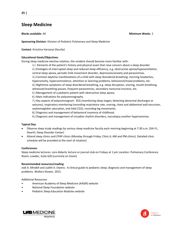# **Sleep Medicine**

**Blocks available**: All **Minimum Weeks**: 2

**Sponsoring Division**: Division of Pediatric Pulmonary and Sleep Medicine

**Contact**: Krisztina Harsanyi (faculty)

#### **Educational Goals/Objectives**:

During sleep medicine elective rotation, the resident should become more familiar with:

- 1.) Elements of the patient's history and physical exam that raise concern about a sleep disorder.
- 2.) Etiologies of interrupted sleep and reduced sleep efficiency, e.g. obstructive apnea/hypoventilation,
- central sleep apnea, periodic limb movement disorder, depression/anxiety and parasomnias.
- 3.) Common daytime manifestations of a child with sleep disordered breathing: morning headaches, hyperactivity, hypersomnolence, attention or learning problems, behavioral/mood problems, etc.
- 4.) Nighttime symptoms of sleep disordered breathing, e.g. sleep disruption, snoring, mouth breathing, witnessed breathing pauses, frequent parasomnias, secondary nocturnal enuresis, etc.
- 5.) Management of a pediatric patient with obstructive sleep apnea.
- 6.) Main indications for polysomnography.

7.) Key aspects of polysomnogram: EEG (monitoring sleep stages; detecting abnormal discharges or seizures), respiratory monitoring (recording respiratory rate, snoring, chest and abdominal wall excursion, oxyhemoglobin saturation, end-tidal CO2), recording leg movements.

- 8.) Diagnosis and management of behavioral insomnia of childhood.
- 9.) Diagnosis and management of circadian rhythm disorders, narcolepsy another hypersomnias.

#### **Typical Day**:

- Observe sleep study readings by various sleep medicine faculty each morning beginning at 7:30 a.m. (5th FL, Dearth; Sleep Disorder Center)
- Attend sleep clinics and CPAP clinics (Monday through Friday; Clinic 6; AM and PM clinics). Detailed clinic schedule will be provided at the start of rotation)

#### **Conferences**:

Sleep medicine lectures: core didactic lecture or journal club on Fridays at 1 pm Location: Pulmonary Conference Room; Lowder, Suite 620 (currently on Zoom)

#### **Recommended resources/reading**:

Jodi A. Mindell and Judith A. Owens: A clinical guide to pediatric sleep; diagnosis and management of sleep problems. Wolters Kluwer, 2015.

#### Additional Resources

- American Academy of Sleep Medicine (AASM) website
- National Sleep Foundation website
- Pediatric Sleep Education Modules website



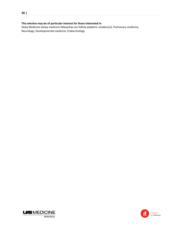#### **This elective may be of particular interest for those interested in**:

Sleep Medicine (sleep medicine fellowship can follow pediatric residency!), Pulmonary medicine, Neurology, Developmental medicine, Endocrinology



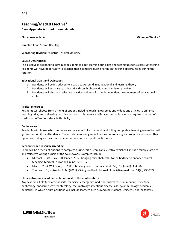## **Teaching/MedEd Elective\***

#### **\* see Appendix A for additional details**

**Blocks Available**: All **Minimum Weeks: 1**

**Director**: Erinn Schmit (faculty)

**Sponsoring Division**: Pediatric Hospital Medicine

#### **Course Description**:

This elective is designed to introduce residents to adult learning principles and techniques for successful teaching. Residents will have opportunity to practice these concepts during hands on teaching opportunities during the rotation.

#### **Educational Goals and Objectives**:

- 1. Residents will be introduced to a basic background in educational and learning theory
- 2. Residents will enhance teaching skills through observation and hands-on practice
- 3. Residents will, through reflective practice, enhance further independent development of educational skills.

#### **Typical Schedule**:

Residents will choose from a menu of options including teaching observations, videos and articles to enhance teaching skills, and delivering teaching sessions. It is largely a self-paced curriculum with a required number of credits but offers considerable flexibility

#### **Conferences:**

Residents will choose which conferences they would like to attend, and if they complete a teaching evaluation will get course credit for attendance. These include morning report, noon conference, grand rounds, and some other options including medical student conferences and med-peds conferences.

#### **Recommended resources/reading**:

There will be a menu of options to complete during this customizable elective which will include multiple articles and reflective writing as part of the coursework. Examples include:

- Michael B. Pitt & Jay D. Orlander (2017) Bringing mini-chalk talks to the bedside to enhance clinical teaching, Medical Education Online, 22:1, 1-7,
- Irby, D. M., & Wilkerson, L. (2008). Teaching when time is limited. Bmj, 336(7640), 384-387
- Thomas, J. D., & Arnold, R. M. (2011). Giving feedback. Journal of palliative medicine, 14(2), 233-239

#### T**his elective may be of particular interest to those interested in**:

Any academic field (pediatric hospital medicine, emergency medicine, critical care, pulmonary, heme/onc, nephrology, endocrine, gastroenterology, rheumatology, infectious disease, allergy/immunology, academic pediatrics) in which future positions will include learners such as medical students, residents, and/or fellows



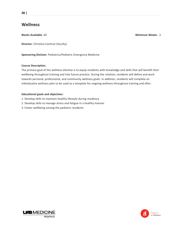# **Wellness**

**Blocks Available**: All **Minimum Weeks**: 3

**Director**: Christina Cochran (faculty)

**Sponsoring Division**: Pediatrics/Pediatric Emergency Medicine

#### **Course Description**:

The primary goal of the wellness elective is to equip residents with knowledge and skills that will benefit their wellbeing throughout training and into future practice. During the rotation, residents will define and work towards personal, professional, and community wellness goals. In addition, residents will complete an individualize wellness plan to be used as a template for ongoing wellness throughout training and after.

#### **Educational goals and objectives**:

- 1. Develop skills to maintain healthy lifestyle during residency
- 2. Develop skills to manage stress and fatigue in a healthy manner
- 3. Foster wellbeing among the pediatric residents